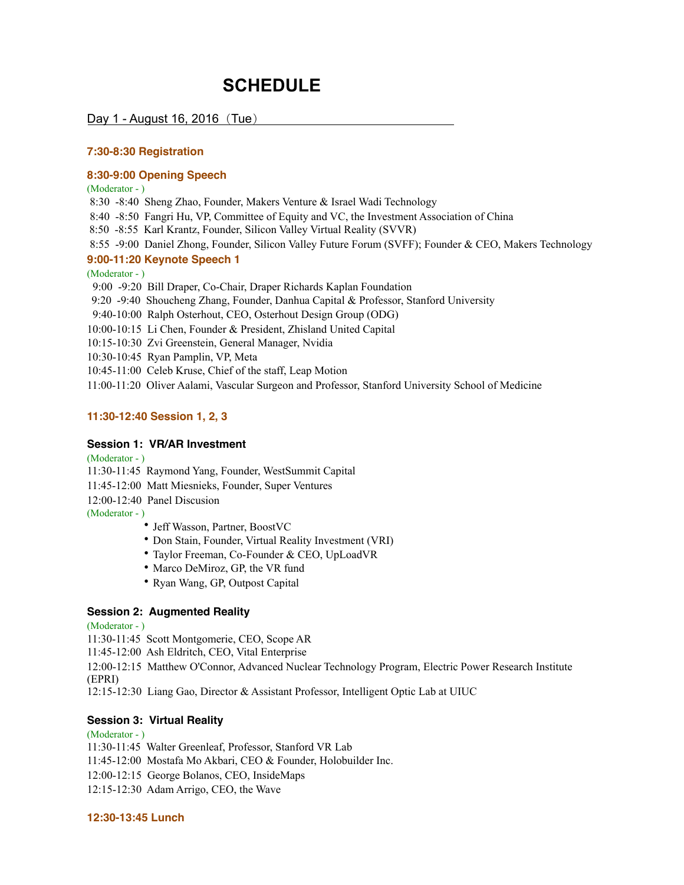# **SCHEDULE**

Day 1 - August 16, 2016 $($ Tue $)$ 

## **7:30-8:30 Registration**

# **8:30-9:00 Opening Speech**

(Moderator - )

8:30 -8:40 Sheng Zhao, Founder, Makers Venture & Israel Wadi Technology

8:40 -8:50 Fangri Hu, VP, Committee of Equity and VC, the Investment Association of China

8:50 -8:55 Karl Krantz, Founder, Silicon Valley Virtual Reality (SVVR)

8:55 -9:00 Daniel Zhong, Founder, Silicon Valley Future Forum (SVFF); Founder & CEO, Makers Technology

# **9:00-11:20 Keynote Speech 1**

(Moderator - )

9:00 -9:20 Bill Draper, Co-Chair, Draper Richards Kaplan Foundation

9:20 -9:40 Shoucheng Zhang, Founder, Danhua Capital & Professor, Stanford University

9:40-10:00 Ralph Osterhout, CEO, Osterhout Design Group (ODG)

10:00-10:15 Li Chen, Founder & President, Zhisland United Capital

10:15-10:30 Zvi Greenstein, General Manager, Nvidia

10:30-10:45 Ryan Pamplin, VP, Meta

10:45-11:00 Celeb Kruse, Chief of the staff, Leap Motion

11:00-11:20 Oliver Aalami, Vascular Surgeon and Professor, Stanford University School of Medicine

### **11:30-12:40 Session 1, 2, 3**

## **Session 1: VR/AR Investment**

(Moderator - )

11:30-11:45 Raymond Yang, Founder, WestSummit Capital

11:45-12:00 Matt Miesnieks, Founder, Super Ventures

12:00-12:40 Panel Discusion

(Moderator - )

- Jeff Wasson, Partner, BoostVC
- Don Stain, Founder, Virtual Reality Investment (VRI)
- Taylor Freeman, Co-Founder & CEO, UpLoadVR
- Marco DeMiroz, GP, the VR fund
- Ryan Wang, GP, Outpost Capital

#### **Session 2: Augmented Reality**

(Moderator - )

11:30-11:45 Scott Montgomerie, CEO, Scope AR

11:45-12:00 Ash Eldritch, CEO, Vital Enterprise

12:00-12:15 Matthew O'Connor, Advanced Nuclear Technology Program, Electric Power Research Institute (EPRI)

12:15-12:30 Liang Gao, Director & Assistant Professor, Intelligent Optic Lab at UIUC

#### **Session 3: Virtual Reality**

#### (Moderator - )

11:30-11:45 Walter Greenleaf, Professor, Stanford VR Lab

11:45-12:00 Mostafa Mo Akbari, CEO & Founder, Holobuilder Inc.

12:00-12:15 George Bolanos, CEO, InsideMaps

12:15-12:30 Adam Arrigo, CEO, the Wave

**12:30-13:45 Lunch**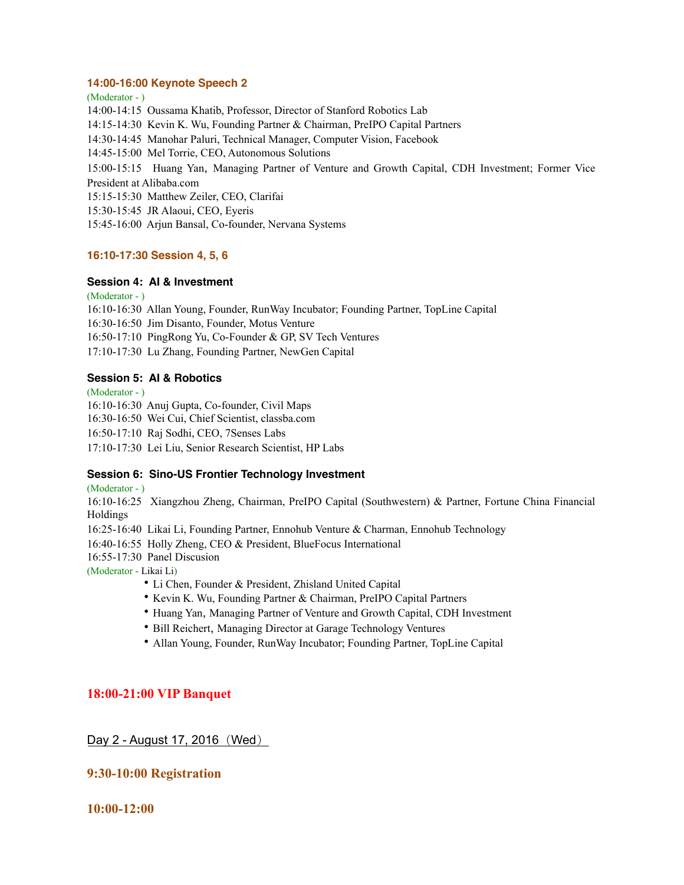#### **14:00-16:00 Keynote Speech 2**

(Moderator - ) 14:00-14:15 Oussama Khatib, Professor, Director of Stanford Robotics Lab 14:15-14:30 Kevin K. Wu, Founding Partner & Chairman, PreIPO Capital Partners 14:30-14:45 Manohar Paluri, Technical Manager, Computer Vision, Facebook 14:45-15:00 Mel Torrie, CEO, Autonomous Solutions 15:00-15:15 Huang Yan, Managing Partner of Venture and Growth Capital, CDH Investment; Former Vice President at Alibaba.com 15:15-15:30 Matthew Zeiler, CEO, Clarifai 15:30-15:45 JR Alaoui, CEO, Eyeris 15:45-16:00 Arjun Bansal, Co-founder, Nervana Systems

# **16:10-17:30 Session 4, 5, 6**

# **Session 4: AI & Investment**

(Moderator - )

16:10-16:30 Allan Young, Founder, RunWay Incubator; Founding Partner, TopLine Capital 16:30-16:50 Jim Disanto, Founder, Motus Venture 16:50-17:10 PingRong Yu, Co-Founder & GP, SV Tech Ventures 17:10-17:30 Lu Zhang, Founding Partner, NewGen Capital

# **Session 5: AI & Robotics**

(Moderator - )

16:10-16:30 Anuj Gupta, Co-founder, Civil Maps

16:30-16:50 Wei Cui, Chief Scientist, classba.com

16:50-17:10 Raj Sodhi, CEO, 7Senses Labs

17:10-17:30 Lei Liu, Senior Research Scientist, HP Labs

# **Session 6: Sino-US Frontier Technology Investment**

(Moderator - )

16:10-16:25 Xiangzhou Zheng, Chairman, PreIPO Capital (Southwestern) & Partner, Fortune China Financial Holdings

16:25-16:40 Likai Li, Founding Partner, Ennohub Venture & Charman, Ennohub Technology

16:40-16:55 Holly Zheng, CEO & President, BlueFocus International

16:55-17:30 Panel Discusion

(Moderator - Likai Li)

- Li Chen, Founder & President, Zhisland United Capital
- Kevin K. Wu, Founding Partner & Chairman, PreIPO Capital Partners
- Huang Yan, Managing Partner of Venture and Growth Capital, CDH Investment
- Bill Reichert, Managing Director at Garage Technology Ventures
- Allan Young, Founder, RunWay Incubator; Founding Partner, TopLine Capital

# **18:00-21:00 VIP Banquet**

# Day 2 - August 17, 2016 (Wed)

# **9:30-10:00 Registration**

**10:00-12:00**